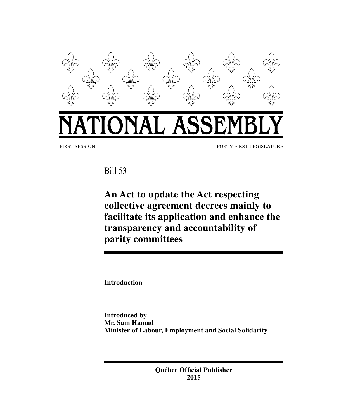

Bill 53

**An Act to update the Act respecting collective agreement decrees mainly to facilitate its application and enhance the transparency and accountability of parity committees**

**Introduction**

**Introduced by Mr. Sam Hamad Minister of Labour, Employment and Social Solidarity**

> **Québec Official Publisher 2015**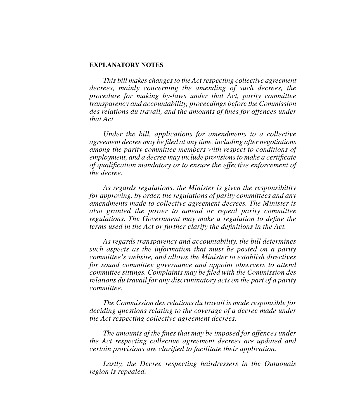#### **EXPLANATORY NOTES**

*This bill makes changes to the Act respecting collective agreement decrees, mainly concerning the amending of such decrees, the procedure for making by-laws under that Act, parity committee transparency and accountability, proceedings before the Commission des relations du travail, and the amounts of fines for offences under that Act.*

*Under the bill, applications for amendments to a collective agreement decree may be filed at any time, including after negotiations among the parity committee members with respect to conditions of employment, and a decree may include provisions to make a certificate of qualification mandatory or to ensure the effective enforcement of the decree.* 

*As regards regulations, the Minister is given the responsibility for approving, by order, the regulations of parity committees and any amendments made to collective agreement decrees. The Minister is also granted the power to amend or repeal parity committee regulations. The Government may make a regulation to define the terms used in the Act or further clarify the definitions in the Act.* 

*As regards transparency and accountability, the bill determines such aspects as the information that must be posted on a parity committee's website, and allows the Minister to establish directives for sound committee governance and appoint observers to attend committee sittings. Complaints may be filed with the Commission des relations du travail for any discriminatory acts on the part of a parity committee.*

*The Commission des relations du travail is made responsible for deciding questions relating to the coverage of a decree made under the Act respecting collective agreement decrees.*

*The amounts of the fines that may be imposed for offences under the Act respecting collective agreement decrees are updated and certain provisions are clarified to facilitate their application.*

*Lastly, the Decree respecting hairdressers in the Outaouais region is repealed.*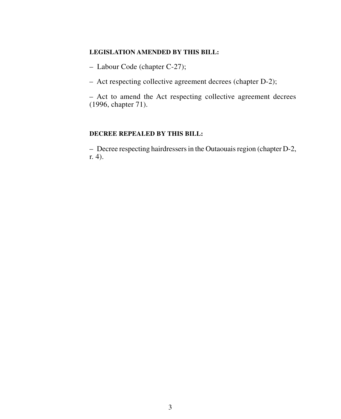# **LEGISLATION AMENDED BY THIS BILL:**

– Labour Code (chapter C‑27);

– Act respecting collective agreement decrees (chapter D‑2);

– Act to amend the Act respecting collective agreement decrees (1996, chapter 71).

## **DECREE REPEALED BY THIS BILL:**

– Decree respecting hairdressers in the Outaouais region (chapter D-2, r. 4).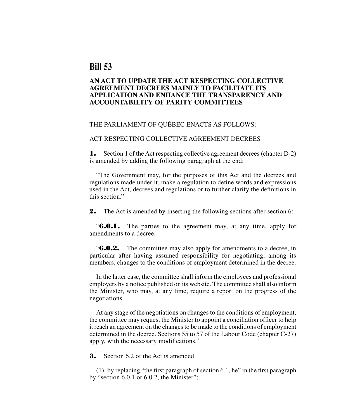# **Bill 53**

#### **AN ACT TO UPDATE THE ACT RESPECTING COLLECTIVE AGREEMENT DECREES MAINLY TO FACILITATE ITS APPLICATION AND ENHANCE THE TRANSPARENCY AND ACCOUNTABILITY OF PARITY COMMITTEES**

#### THE PARLIAMENT OF QUÉBEC ENACTS AS FOLLOWS:

#### ACT RESPECTING COLLECTIVE AGREEMENT DECREES

1. Section 1 of the Act respecting collective agreement decrees (chapter D-2) is amended by adding the following paragraph at the end:

"The Government may, for the purposes of this Act and the decrees and regulations made under it, make a regulation to define words and expressions used in the Act, decrees and regulations or to further clarify the definitions in this section."

**2.** The Act is amended by inserting the following sections after section 6:

**"6.0.1.** The parties to the agreement may, at any time, apply for amendments to a decree.

**"6.0.2.** The committee may also apply for amendments to a decree, in particular after having assumed responsibility for negotiating, among its members, changes to the conditions of employment determined in the decree.

In the latter case, the committee shall inform the employees and professional employers by a notice published on its website. The committee shall also inform the Minister, who may, at any time, require a report on the progress of the negotiations.

At any stage of the negotiations on changes to the conditions of employment, the committee may request the Minister to appoint a conciliation officer to help it reach an agreement on the changes to be made to the conditions of employment determined in the decree. Sections 55 to 57 of the Labour Code (chapter C-27) apply, with the necessary modifications."

**3.** Section 6.2 of the Act is amended

(1) by replacing "the first paragraph of section 6.1, he" in the first paragraph by "section 6.0.1 or 6.0.2, the Minister";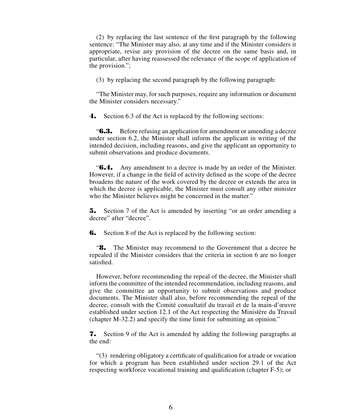(2) by replacing the last sentence of the first paragraph by the following sentence: "The Minister may also, at any time and if the Minister considers it appropriate, revise any provision of the decree on the same basis and, in particular, after having reassessed the relevance of the scope of application of the provision.";

(3) by replacing the second paragraph by the following paragraph:

"The Minister may, for such purposes, require any information or document the Minister considers necessary."

4. Section 6.3 of the Act is replaced by the following sections:

"6.3. Before refusing an application for amendment or amending a decree under section 6.2, the Minister shall inform the applicant in writing of the intended decision, including reasons, and give the applicant an opportunity to submit observations and produce documents.

**"6.4.** Any amendment to a decree is made by an order of the Minister. However, if a change in the field of activity defined as the scope of the decree broadens the nature of the work covered by the decree or extends the area in which the decree is applicable, the Minister must consult any other minister who the Minister believes might be concerned in the matter."

5. Section 7 of the Act is amended by inserting "or an order amending a decree" after "decree".

**6.** Section 8 of the Act is replaced by the following section:

"8. The Minister may recommend to the Government that a decree be repealed if the Minister considers that the criteria in section 6 are no longer satisfied.

However, before recommending the repeal of the decree, the Minister shall inform the committee of the intended recommendation, including reasons, and give the committee an opportunity to submit observations and produce documents. The Minister shall also, before recommending the repeal of the decree, consult with the Comité consultatif du travail et de la main-d'œuvre established under section 12.1 of the Act respecting the Ministère du Travail (chapter M-32.2) and specify the time limit for submitting an opinion."

7. Section 9 of the Act is amended by adding the following paragraphs at the end:

"(3) rendering obligatory a certificate of qualification for a trade or vocation for which a program has been established under section 29.1 of the Act respecting workforce vocational training and qualification (chapter F-5); or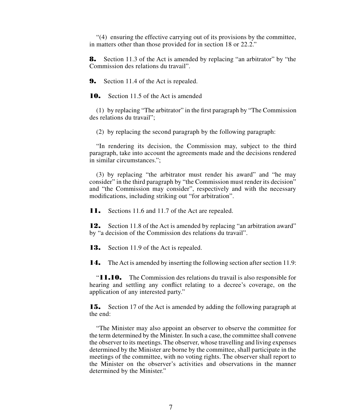"(4) ensuring the effective carrying out of its provisions by the committee, in matters other than those provided for in section 18 or 22.2."

8. Section 11.3 of the Act is amended by replacing "an arbitrator" by "the Commission des relations du travail".

**9.** Section 11.4 of the Act is repealed.

10. Section 11.5 of the Act is amended

(1) by replacing "The arbitrator" in the first paragraph by "The Commission des relations du travail";

(2) by replacing the second paragraph by the following paragraph:

"In rendering its decision, the Commission may, subject to the third paragraph, take into account the agreements made and the decisions rendered in similar circumstances.";

(3) by replacing "the arbitrator must render his award" and "he may consider" in the third paragraph by "the Commission must render its decision" and "the Commission may consider", respectively and with the necessary modifications, including striking out "for arbitration".

**11.** Sections 11.6 and 11.7 of the Act are repealed.

**12.** Section 11.8 of the Act is amended by replacing "an arbitration award" by "a decision of the Commission des relations du travail".

**13.** Section 11.9 of the Act is repealed.

14. The Act is amended by inserting the following section after section 11.9:

"11.10. The Commission des relations du travail is also responsible for hearing and settling any conflict relating to a decree's coverage, on the application of any interested party."

**15.** Section 17 of the Act is amended by adding the following paragraph at the end:

"The Minister may also appoint an observer to observe the committee for the term determined by the Minister. In such a case, the committee shall convene the observer to its meetings. The observer, whose travelling and living expenses determined by the Minister are borne by the committee, shall participate in the meetings of the committee, with no voting rights. The observer shall report to the Minister on the observer's activities and observations in the manner determined by the Minister."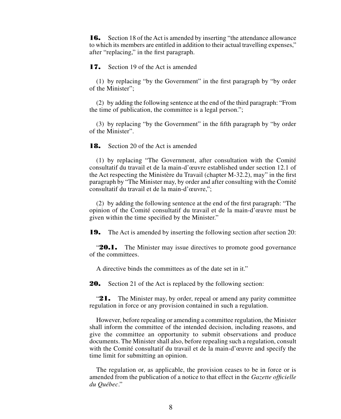16. Section 18 of the Act is amended by inserting "the attendance allowance to which its members are entitled in addition to their actual travelling expenses," after "replacing," in the first paragraph.

**17.** Section 19 of the Act is amended

(1) by replacing "by the Government" in the first paragraph by "by order of the Minister";

(2) by adding the following sentence at the end of the third paragraph: "From the time of publication, the committee is a legal person.";

(3) by replacing "by the Government" in the fifth paragraph by "by order of the Minister".

**18.** Section 20 of the Act is amended

(1) by replacing "The Government, after consultation with the Comité consultatif du travail et de la main-d'œuvre established under section 12.1 of the Act respecting the Ministère du Travail (chapter M-32.2), may" in the first paragraph by "The Minister may, by order and after consulting with the Comité consultatif du travail et de la main-d'œuvre,";

(2) by adding the following sentence at the end of the first paragraph: "The opinion of the Comité consultatif du travail et de la main-d'œuvre must be given within the time specified by the Minister."

**19.** The Act is amended by inserting the following section after section 20:

**20.1.** The Minister may issue directives to promote good governance of the committees.

A directive binds the committees as of the date set in it."

20. Section 21 of the Act is replaced by the following section:

"21. The Minister may, by order, repeal or amend any parity committee regulation in force or any provision contained in such a regulation.

However, before repealing or amending a committee regulation, the Minister shall inform the committee of the intended decision, including reasons, and give the committee an opportunity to submit observations and produce documents. The Minister shall also, before repealing such a regulation, consult with the Comité consultatif du travail et de la main-d'œuvre and specify the time limit for submitting an opinion.

The regulation or, as applicable, the provision ceases to be in force or is amended from the publication of a notice to that effect in the *Gazette officielle du Québec*."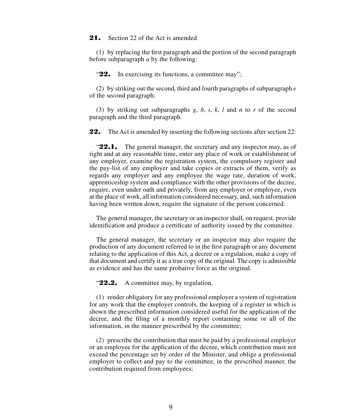#### 21. Section 22 of the Act is amended

(1) by replacing the first paragraph and the portion of the second paragraph before subparagraph *a* by the following:

"22. In exercising its functions, a committee may";

(2) by striking out the second, third and fourth paragraphs of subparagraph *e* of the second paragraph;

(3) by striking out subparagraphs *g*, *h*, *i*, *k*, *l* and *n* to *r* of the second paragraph and the third paragraph.

22. The Act is amended by inserting the following sections after section 22:

"**22.1.** The general manager, the secretary and any inspector may, as of right and at any reasonable time, enter any place of work or establishment of any employer, examine the registration system, the compulsory register and the pay-list of any employer and take copies or extracts of them, verify as regards any employer and any employee the wage rate, duration of work, apprenticeship system and compliance with the other provisions of the decree, require, even under oath and privately, from any employer or employee, even at the place of work, all information considered necessary, and, such information having been written down, require the signature of the person concerned.

The general manager, the secretary or an inspector shall, on request, provide identification and produce a certificate of authority issued by the committee.

The general manager, the secretary or an inspector may also require the production of any document referred to in the first paragraph or any document relating to the application of this Act, a decree or a regulation, make a copy of that document and certify it as a true copy of the original. The copy is admissible as evidence and has the same probative force as the original.

"22.2. A committee may, by regulation,

(1) render obligatory for any professional employer a system of registration for any work that the employer controls, the keeping of a register in which is shown the prescribed information considered useful for the application of the decree, and the filing of a monthly report containing some or all of the information, in the manner prescribed by the committee;

(2) prescribe the contribution that must be paid by a professional employer or an employee for the application of the decree, which contribution must not exceed the percentage set by order of the Minister, and oblige a professional employer to collect and pay to the committee, in the prescribed manner, the contribution required from employees;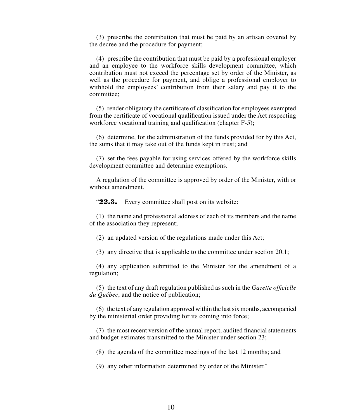(3) prescribe the contribution that must be paid by an artisan covered by the decree and the procedure for payment;

(4) prescribe the contribution that must be paid by a professional employer and an employee to the workforce skills development committee, which contribution must not exceed the percentage set by order of the Minister, as well as the procedure for payment, and oblige a professional employer to withhold the employees' contribution from their salary and pay it to the committee;

(5) render obligatory the certificate of classification for employees exempted from the certificate of vocational qualification issued under the Act respecting workforce vocational training and qualification (chapter F-5);

(6) determine, for the administration of the funds provided for by this Act, the sums that it may take out of the funds kept in trust; and

(7) set the fees payable for using services offered by the workforce skills development committee and determine exemptions.

A regulation of the committee is approved by order of the Minister, with or without amendment.

"22.3. Every committee shall post on its website:

(1) the name and professional address of each of its members and the name of the association they represent;

(2) an updated version of the regulations made under this Act;

(3) any directive that is applicable to the committee under section 20.1;

(4) any application submitted to the Minister for the amendment of a regulation;

(5) the text of any draft regulation published as such in the *Gazette officielle du Québec*, and the notice of publication;

(6) the text of any regulation approved within the last six months, accompanied by the ministerial order providing for its coming into force;

(7) the most recent version of the annual report, audited financial statements and budget estimates transmitted to the Minister under section 23;

(8) the agenda of the committee meetings of the last 12 months; and

(9) any other information determined by order of the Minister."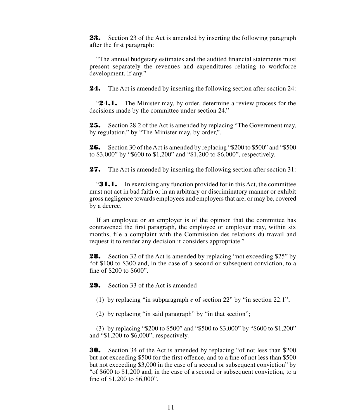23. Section 23 of the Act is amended by inserting the following paragraph after the first paragraph:

"The annual budgetary estimates and the audited financial statements must present separately the revenues and expenditures relating to workforce development, if any."

24. The Act is amended by inserting the following section after section 24:

"**24.1.** The Minister may, by order, determine a review process for the decisions made by the committee under section 24."

**25.** Section 28.2 of the Act is amended by replacing "The Government may, by regulation," by "The Minister may, by order,".

26. Section 30 of the Act is amended by replacing "\$200 to \$500" and "\$500 to \$3,000" by "\$600 to \$1,200" and "\$1,200 to \$6,000", respectively.

**27.** The Act is amended by inserting the following section after section 31:

**"31.1.** In exercising any function provided for in this Act, the committee must not act in bad faith or in an arbitrary or discriminatory manner or exhibit gross negligence towards employees and employers that are, or may be, covered by a decree.

If an employee or an employer is of the opinion that the committee has contravened the first paragraph, the employee or employer may, within six months, file a complaint with the Commission des relations du travail and request it to render any decision it considers appropriate."

**28.** Section 32 of the Act is amended by replacing "not exceeding \$25" by "of \$100 to \$300 and, in the case of a second or subsequent conviction, to a fine of \$200 to \$600".

29. Section 33 of the Act is amended

(1) by replacing "in subparagraph *e* of section 22" by "in section 22.1";

(2) by replacing "in said paragraph" by "in that section";

(3) by replacing "\$200 to \$500" and "\$500 to \$3,000" by "\$600 to \$1,200" and "\$1,200 to \$6,000", respectively.

30. Section 34 of the Act is amended by replacing "of not less than \$200 but not exceeding \$500 for the first offence, and to a fine of not less than \$500 but not exceeding \$3,000 in the case of a second or subsequent conviction" by "of \$600 to \$1,200 and, in the case of a second or subsequent conviction, to a fine of \$1,200 to \$6,000".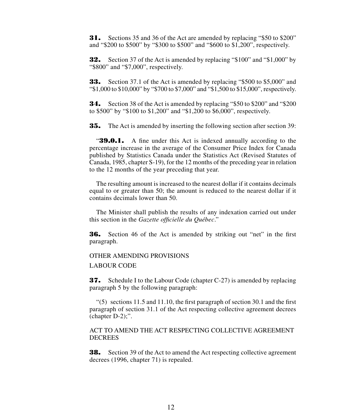31. Sections 35 and 36 of the Act are amended by replacing "\$50 to \$200" and "\$200 to \$500" by "\$300 to \$500" and "\$600 to \$1,200", respectively.

32. Section 37 of the Act is amended by replacing "\$100" and "\$1,000" by "\$800" and "\$7,000", respectively.

**33.** Section 37.1 of the Act is amended by replacing "\$500 to \$5,000" and "\$1,000 to \$10,000" by "\$700 to \$7,000" and "\$1,500 to \$15,000", respectively.

34. Section 38 of the Act is amended by replacing "\$50 to \$200" and "\$200 to \$500" by "\$100 to \$1,200" and "\$1,200 to \$6,000", respectively.

**35.** The Act is amended by inserting the following section after section 39:

"39.0.1. A fine under this Act is indexed annually according to the percentage increase in the average of the Consumer Price Index for Canada published by Statistics Canada under the Statistics Act (Revised Statutes of Canada, 1985, chapter S-19), for the 12 months of the preceding year in relation to the 12 months of the year preceding that year.

The resulting amount is increased to the nearest dollar if it contains decimals equal to or greater than 50; the amount is reduced to the nearest dollar if it contains decimals lower than 50.

The Minister shall publish the results of any indexation carried out under this section in the *Gazette officielle du Québec*."

36. Section 46 of the Act is amended by striking out "net" in the first paragraph.

## OTHER AMENDING PROVISIONS LABOUR CODE

37. Schedule I to the Labour Code (chapter C-27) is amended by replacing paragraph 5 by the following paragraph:

"(5) sections 11.5 and 11.10, the first paragraph of section 30.1 and the first paragraph of section 31.1 of the Act respecting collective agreement decrees (chapter D-2);".

ACT TO AMEND THE ACT RESPECTING COLLECTIVE AGREEMENT DECREES

**38.** Section 39 of the Act to amend the Act respecting collective agreement decrees (1996, chapter 71) is repealed.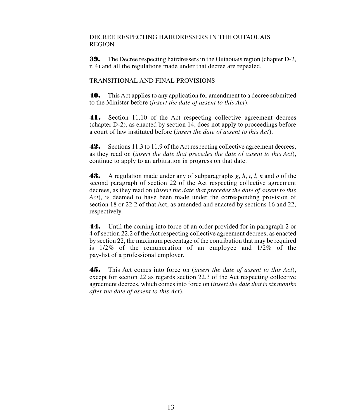#### DECREE RESPECTING HAIRDRESSERS IN THE OUTAOUAIS REGION

39. The Decree respecting hairdressers in the Outaouais region (chapter D-2, r. 4) and all the regulations made under that decree are repealed.

#### TRANSITIONAL AND FINAL PROVISIONS

40. This Act applies to any application for amendment to a decree submitted to the Minister before (*insert the date of assent to this Act*).

41. Section 11.10 of the Act respecting collective agreement decrees (chapter D-2), as enacted by section 14, does not apply to proceedings before a court of law instituted before (*insert the date of assent to this Act*).

42. Sections 11.3 to 11.9 of the Act respecting collective agreement decrees, as they read on (*insert the date that precedes the date of assent to this Act*), continue to apply to an arbitration in progress on that date.

43. A regulation made under any of subparagraphs *g*, *h*, *i*, *l*, *n* and *o* of the second paragraph of section 22 of the Act respecting collective agreement decrees, as they read on (*insert the date that precedes the date of assent to this Act*), is deemed to have been made under the corresponding provision of section 18 or 22.2 of that Act, as amended and enacted by sections 16 and 22, respectively.

44. Until the coming into force of an order provided for in paragraph 2 or 4 of section 22.2 of the Act respecting collective agreement decrees, as enacted by section 22, the maximum percentage of the contribution that may be required is 1/2% of the remuneration of an employee and 1/2% of the pay-list of a professional employer.

45. This Act comes into force on (*insert the date of assent to this Act*), except for section 22 as regards section 22.3 of the Act respecting collective agreement decrees, which comes into force on (*insert the date that is six months after the date of assent to this Act*).